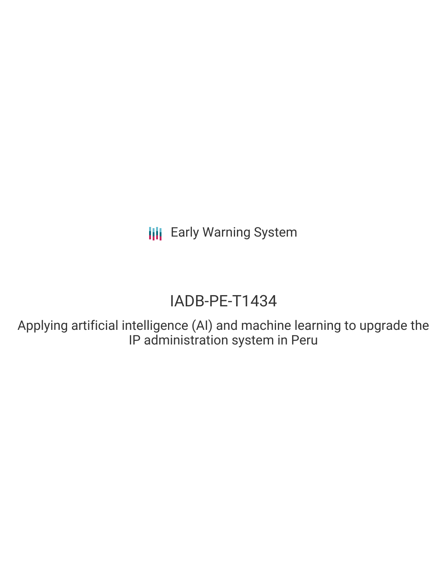# IADB-PE-T1434

Applying artificial intelligence (AI) and machine learning to upgrade the IP administration system in Peru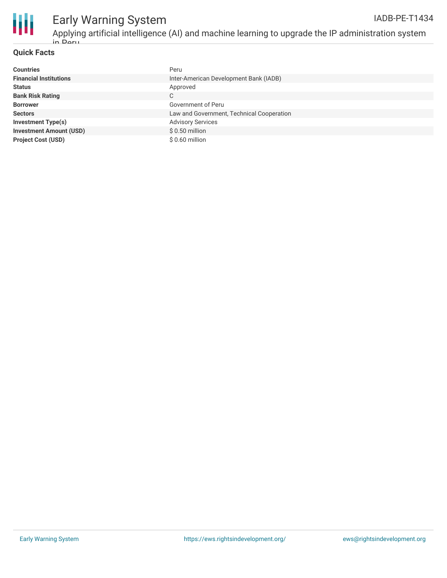

#### **Quick Facts**

| <b>Countries</b>               | Peru                                      |
|--------------------------------|-------------------------------------------|
| <b>Financial Institutions</b>  | Inter-American Development Bank (IADB)    |
| <b>Status</b>                  | Approved                                  |
| <b>Bank Risk Rating</b>        | C                                         |
| <b>Borrower</b>                | Government of Peru                        |
| <b>Sectors</b>                 | Law and Government, Technical Cooperation |
| <b>Investment Type(s)</b>      | <b>Advisory Services</b>                  |
| <b>Investment Amount (USD)</b> | $$0.50$ million                           |
| <b>Project Cost (USD)</b>      | $$0.60$ million                           |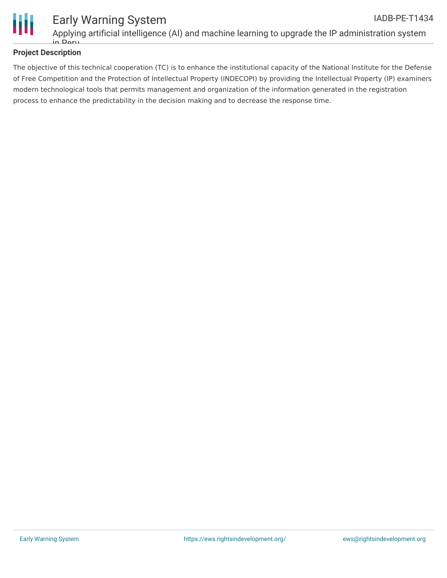

#### Early Warning System Applying artificial intelligence (AI) and machine learning to upgrade the IP administration system IADB-PE-T1434

### **Project Description**

in Peru

The objective of this technical cooperation (TC) is to enhance the institutional capacity of the National Institute for the Defense of Free Competition and the Protection of Intellectual Property (INDECOPI) by providing the Intellectual Property (IP) examiners modern technological tools that permits management and organization of the information generated in the registration process to enhance the predictability in the decision making and to decrease the response time.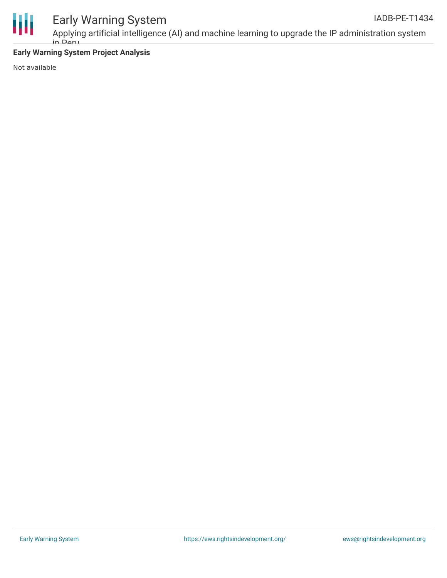

### **Early Warning System Project Analysis**

in Peru

Not available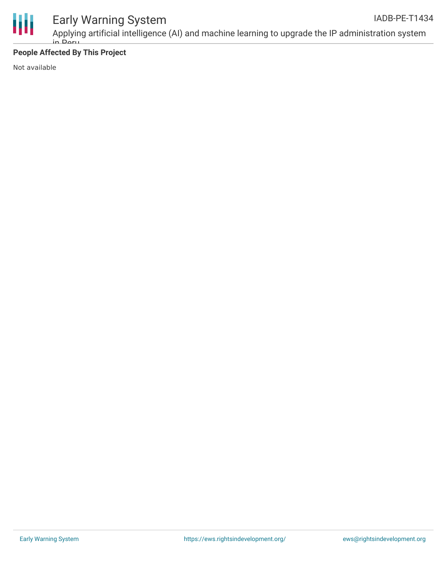

Applying artificial intelligence (AI) and machine learning to upgrade the IP administration system in Peru

### **People Affected By This Project**

Not available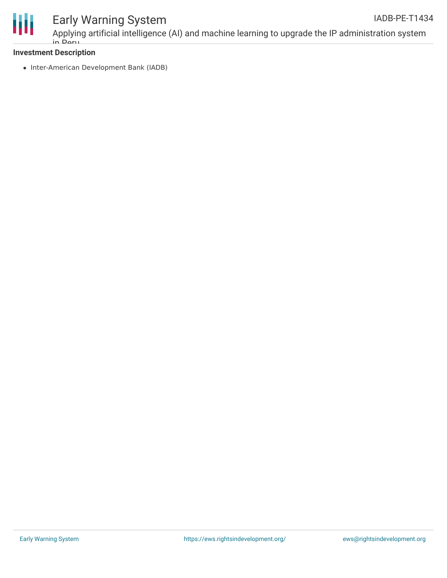

### **Investment Description**

in Peru

• Inter-American Development Bank (IADB)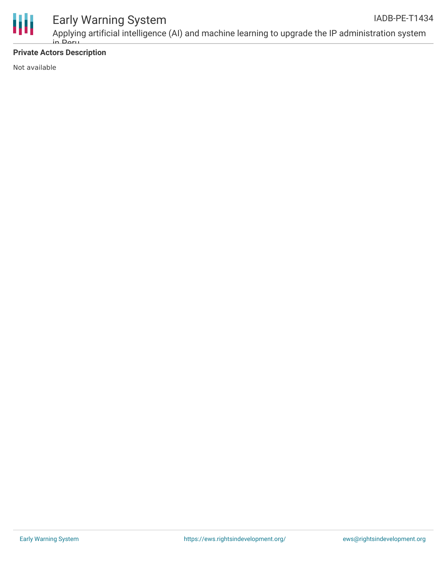

### **Private Actors Description**

Not available